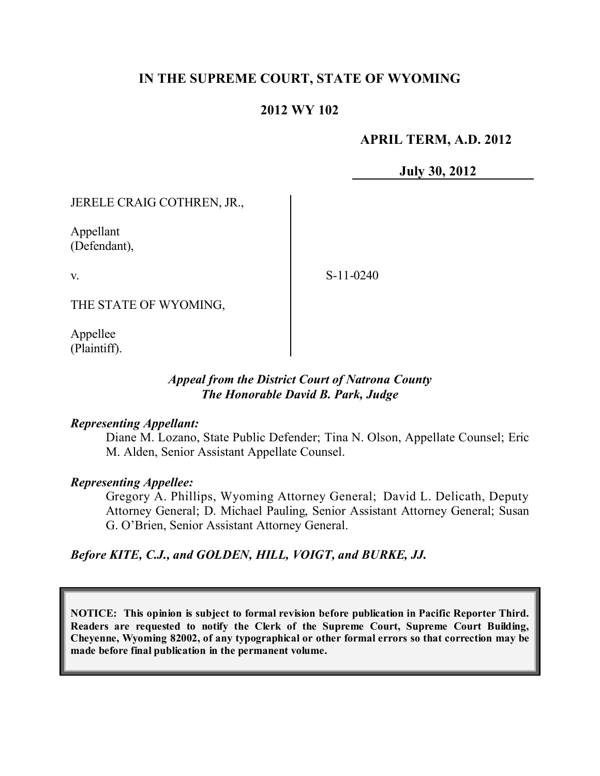# **IN THE SUPREME COURT, STATE OF WYOMING**

### **2012 WY 102**

### **APRIL TERM, A.D. 2012**

**July 30, 2012**

JERELE CRAIG COTHREN, JR.,

Appellant (Defendant),

v.

S-11-0240

THE STATE OF WYOMING,

Appellee (Plaintiff).

#### *Appeal from the District Court of Natrona County The Honorable David B. Park, Judge*

#### *Representing Appellant:*

Diane M. Lozano, State Public Defender; Tina N. Olson, Appellate Counsel; Eric M. Alden, Senior Assistant Appellate Counsel.

### *Representing Appellee:*

Gregory A. Phillips, Wyoming Attorney General; David L. Delicath, Deputy Attorney General; D. Michael Pauling, Senior Assistant Attorney General; Susan G. O'Brien, Senior Assistant Attorney General.

*Before KITE, C.J., and GOLDEN, HILL, VOIGT, and BURKE, JJ.*

**NOTICE: This opinion is subject to formal revision before publication in Pacific Reporter Third. Readers are requested to notify the Clerk of the Supreme Court, Supreme Court Building, Cheyenne, Wyoming 82002, of any typographical or other formal errors so that correction may be made before final publication in the permanent volume.**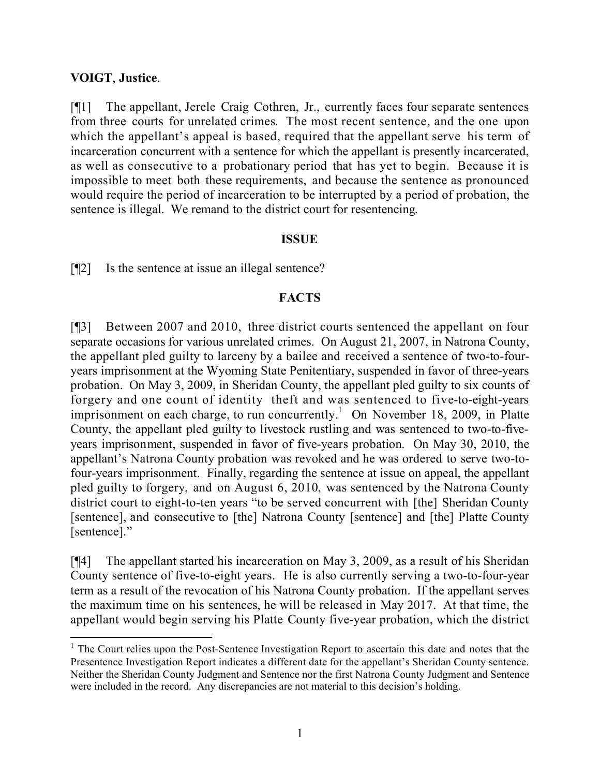### **VOIGT**, **Justice**.

l

[¶1] The appellant, Jerele Craig Cothren, Jr., currently faces four separate sentences from three courts for unrelated crimes. The most recent sentence, and the one upon which the appellant's appeal is based, required that the appellant serve his term of incarceration concurrent with a sentence for which the appellant is presently incarcerated, as well as consecutive to a probationary period that has yet to begin. Because it is impossible to meet both these requirements, and because the sentence as pronounced would require the period of incarceration to be interrupted by a period of probation, the sentence is illegal. We remand to the district court for resentencing.

#### **ISSUE**

[¶2] Is the sentence at issue an illegal sentence?

# **FACTS**

[¶3] Between 2007 and 2010, three district courts sentenced the appellant on four separate occasions for various unrelated crimes. On August 21, 2007, in Natrona County, the appellant pled guilty to larceny by a bailee and received a sentence of two-to-fouryears imprisonment at the Wyoming State Penitentiary, suspended in favor of three-years probation. On May 3, 2009, in Sheridan County, the appellant pled guilty to six counts of forgery and one count of identity theft and was sentenced to five-to-eight-years imprisonment on each charge, to run concurrently.<sup>1</sup> On November 18, 2009, in Platte County, the appellant pled guilty to livestock rustling and was sentenced to two-to-fiveyears imprisonment, suspended in favor of five-years probation. On May 30, 2010, the appellant's Natrona County probation was revoked and he was ordered to serve two-tofour-years imprisonment. Finally, regarding the sentence at issue on appeal, the appellant pled guilty to forgery, and on August 6, 2010, was sentenced by the Natrona County district court to eight-to-ten years "to be served concurrent with [the] Sheridan County [sentence], and consecutive to [the] Natrona County [sentence] and [the] Platte County [sentence]."

[¶4] The appellant started his incarceration on May 3, 2009, as a result of his Sheridan County sentence of five-to-eight years. He is also currently serving a two-to-four-year term as a result of the revocation of his Natrona County probation. If the appellant serves the maximum time on his sentences, he will be released in May 2017. At that time, the appellant would begin serving his Platte County five-year probation, which the district

<sup>&</sup>lt;sup>1</sup> The Court relies upon the Post-Sentence Investigation Report to ascertain this date and notes that the Presentence Investigation Report indicates a different date for the appellant's Sheridan County sentence. Neither the Sheridan County Judgment and Sentence nor the first Natrona County Judgment and Sentence were included in the record. Any discrepancies are not material to this decision's holding.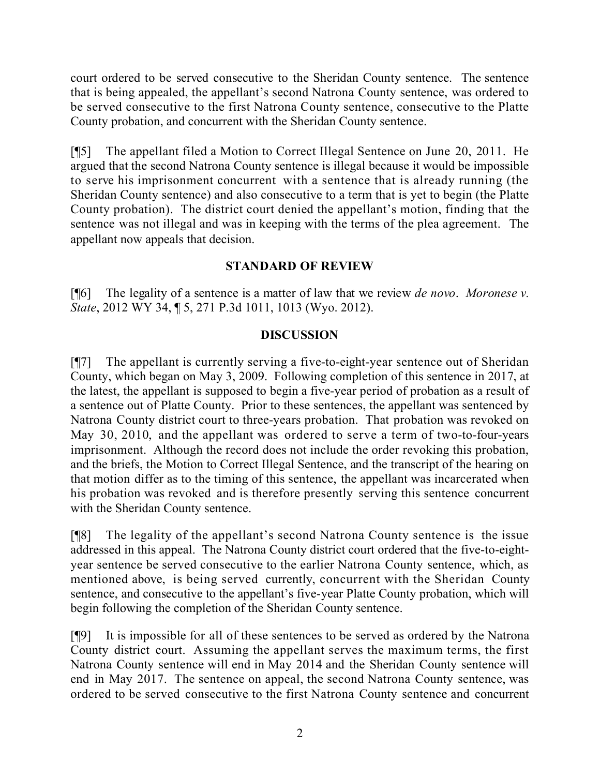court ordered to be served consecutive to the Sheridan County sentence. The sentence that is being appealed, the appellant's second Natrona County sentence, was ordered to be served consecutive to the first Natrona County sentence, consecutive to the Platte County probation, and concurrent with the Sheridan County sentence.

[¶5] The appellant filed a Motion to Correct Illegal Sentence on June 20, 2011. He argued that the second Natrona County sentence is illegal because it would be impossible to serve his imprisonment concurrent with a sentence that is already running (the Sheridan County sentence) and also consecutive to a term that is yet to begin (the Platte County probation). The district court denied the appellant's motion, finding that the sentence was not illegal and was in keeping with the terms of the plea agreement. The appellant now appeals that decision.

# **STANDARD OF REVIEW**

[¶6] The legality of a sentence is a matter of law that we review *de novo*. *Moronese v. State*, 2012 WY 34, ¶ 5, 271 P.3d 1011, 1013 (Wyo. 2012).

# **DISCUSSION**

[¶7] The appellant is currently serving a five-to-eight-year sentence out of Sheridan County, which began on May 3, 2009. Following completion of this sentence in 2017, at the latest, the appellant is supposed to begin a five-year period of probation as a result of a sentence out of Platte County. Prior to these sentences, the appellant was sentenced by Natrona County district court to three-years probation. That probation was revoked on May 30, 2010, and the appellant was ordered to serve a term of two-to-four-years imprisonment. Although the record does not include the order revoking this probation, and the briefs, the Motion to Correct Illegal Sentence, and the transcript of the hearing on that motion differ as to the timing of this sentence, the appellant was incarcerated when his probation was revoked and is therefore presently serving this sentence concurrent with the Sheridan County sentence.

[¶8] The legality of the appellant's second Natrona County sentence is the issue addressed in this appeal. The Natrona County district court ordered that the five-to-eightyear sentence be served consecutive to the earlier Natrona County sentence, which, as mentioned above, is being served currently, concurrent with the Sheridan County sentence, and consecutive to the appellant's five-year Platte County probation, which will begin following the completion of the Sheridan County sentence.

[¶9] It is impossible for all of these sentences to be served as ordered by the Natrona County district court. Assuming the appellant serves the maximum terms, the first Natrona County sentence will end in May 2014 and the Sheridan County sentence will end in May 2017. The sentence on appeal, the second Natrona County sentence, was ordered to be served consecutive to the first Natrona County sentence and concurrent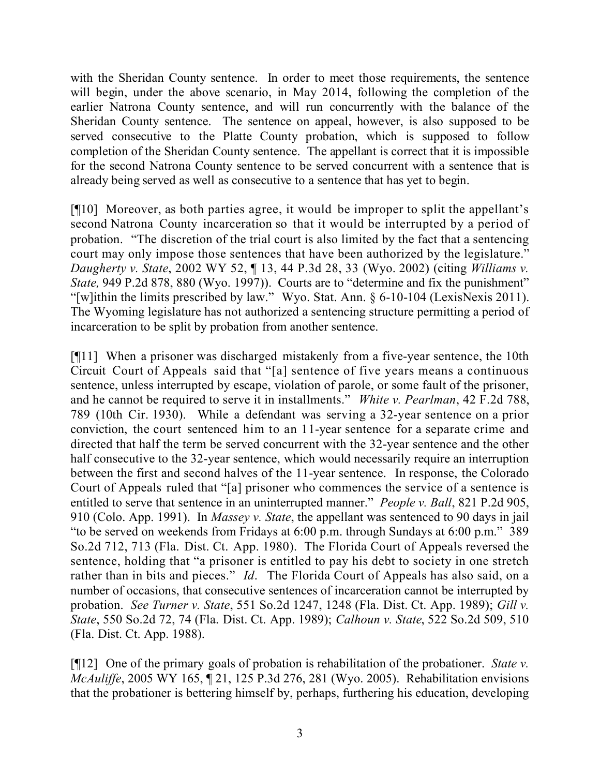with the Sheridan County sentence. In order to meet those requirements, the sentence will begin, under the above scenario, in May 2014, following the completion of the earlier Natrona County sentence, and will run concurrently with the balance of the Sheridan County sentence. The sentence on appeal, however, is also supposed to be served consecutive to the Platte County probation, which is supposed to follow completion of the Sheridan County sentence. The appellant is correct that it is impossible for the second Natrona County sentence to be served concurrent with a sentence that is already being served as well as consecutive to a sentence that has yet to begin.

[¶10] Moreover, as both parties agree, it would be improper to split the appellant's second Natrona County incarceration so that it would be interrupted by a period of probation. "The discretion of the trial court is also limited by the fact that a sentencing court may only impose those sentences that have been authorized by the legislature." *Daugherty v. State*, 2002 WY 52, ¶ 13, 44 P.3d 28, 33 (Wyo. 2002) (citing *Williams v. State,* 949 P.2d 878, 880 (Wyo. 1997)). Courts are to "determine and fix the punishment" "[w]ithin the limits prescribed by law." Wyo. Stat. Ann. § 6-10-104 (LexisNexis 2011). The Wyoming legislature has not authorized a sentencing structure permitting a period of incarceration to be split by probation from another sentence.

[¶11] When a prisoner was discharged mistakenly from a five-year sentence, the 10th Circuit Court of Appeals said that "[a] sentence of five years means a continuous sentence, unless interrupted by escape, violation of parole, or some fault of the prisoner, and he cannot be required to serve it in installments." *White v. Pearlman*, 42 F.2d 788, 789 (10th Cir. 1930). While a defendant was serving a 32-year sentence on a prior conviction, the court sentenced him to an 11-year sentence for a separate crime and directed that half the term be served concurrent with the 32-year sentence and the other half consecutive to the 32-year sentence, which would necessarily require an interruption between the first and second halves of the 11-year sentence. In response, the Colorado Court of Appeals ruled that "[a] prisoner who commences the service of a sentence is entitled to serve that sentence in an uninterrupted manner." *People v. Ball*, 821 P.2d 905, 910 (Colo. App. 1991). In *Massey v. State*, the appellant was sentenced to 90 days in jail "to be served on weekends from Fridays at 6:00 p.m. through Sundays at 6:00 p.m." 389 So.2d 712, 713 (Fla. Dist. Ct. App. 1980). The Florida Court of Appeals reversed the sentence, holding that "a prisoner is entitled to pay his debt to society in one stretch rather than in bits and pieces." *Id*. The Florida Court of Appeals has also said, on a number of occasions, that consecutive sentences of incarceration cannot be interrupted by probation. *See Turner v. State*, 551 So.2d 1247, 1248 (Fla. Dist. Ct. App. 1989); *Gill v. State*, 550 So.2d 72, 74 (Fla. Dist. Ct. App. 1989); *Calhoun v. State*, 522 So.2d 509, 510 (Fla. Dist. Ct. App. 1988).

[¶12] One of the primary goals of probation is rehabilitation of the probationer. *State v. McAuliffe*, 2005 WY 165, ¶ 21, 125 P.3d 276, 281 (Wyo. 2005). Rehabilitation envisions that the probationer is bettering himself by, perhaps, furthering his education, developing